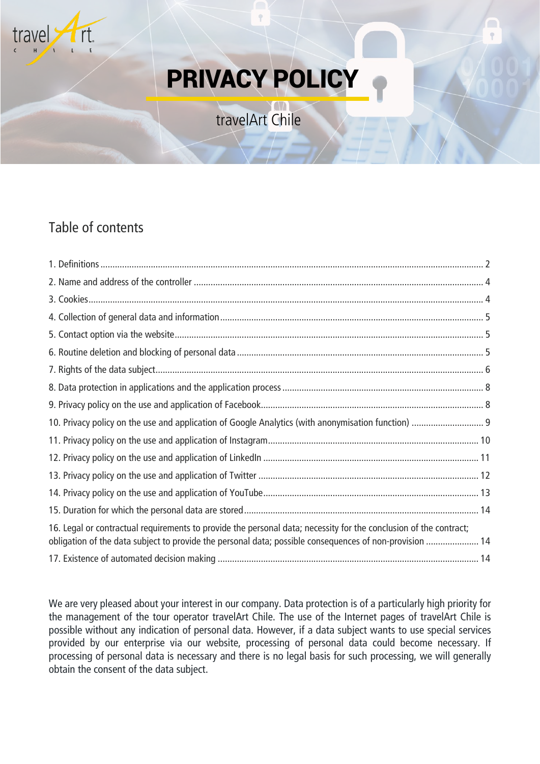

# PRIVACY POLICY

travelArt Chile

# Table of contents

| 16. Legal or contractual requirements to provide the personal data; necessity for the conclusion of the contract;<br>obligation of the data subject to provide the personal data; possible consequences of non-provision  14 |
|------------------------------------------------------------------------------------------------------------------------------------------------------------------------------------------------------------------------------|
|                                                                                                                                                                                                                              |

We are very pleased about your interest in our company. Data protection is of a particularly high priority for the management of the tour operator travelArt Chile. The use of the Internet pages of travelArt Chile is possible without any indication of personal data. However, if a data subject wants to use special services provided by our enterprise via our website, processing of personal data could become necessary. If processing of personal data is necessary and there is no legal basis for such processing, we will generally obtain the consent of the data subject.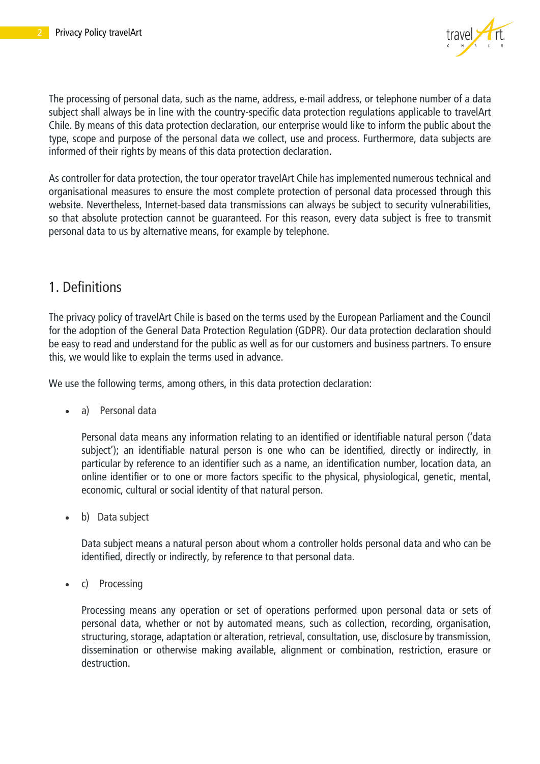

The processing of personal data, such as the name, address, e-mail address, or telephone number of a data subject shall always be in line with the country-specific data protection regulations applicable to travelArt Chile. By means of this data protection declaration, our enterprise would like to inform the public about the type, scope and purpose of the personal data we collect, use and process. Furthermore, data subjects are informed of their rights by means of this data protection declaration.

As controller for data protection, the tour operator travelArt Chile has implemented numerous technical and organisational measures to ensure the most complete protection of personal data processed through this website. Nevertheless, Internet-based data transmissions can always be subject to security vulnerabilities, so that absolute protection cannot be guaranteed. For this reason, every data subject is free to transmit personal data to us by alternative means, for example by telephone.

#### <span id="page-1-0"></span>1. Definitions

The privacy policy of travelArt Chile is based on the terms used by the European Parliament and the Council for the adoption of the General Data Protection Regulation (GDPR). Our data protection declaration should be easy to read and understand for the public as well as for our customers and business partners. To ensure this, we would like to explain the terms used in advance.

We use the following terms, among others, in this data protection declaration:

• a) Personal data

Personal data means any information relating to an identified or identifiable natural person ('data subject'); an identifiable natural person is one who can be identified, directly or indirectly, in particular by reference to an identifier such as a name, an identification number, location data, an online identifier or to one or more factors specific to the physical, physiological, genetic, mental, economic, cultural or social identity of that natural person.

• b) Data subject

Data subject means a natural person about whom a controller holds personal data and who can be identified, directly or indirectly, by reference to that personal data.

• c) Processing

Processing means any operation or set of operations performed upon personal data or sets of personal data, whether or not by automated means, such as collection, recording, organisation, structuring, storage, adaptation or alteration, retrieval, consultation, use, disclosure by transmission, dissemination or otherwise making available, alignment or combination, restriction, erasure or destruction.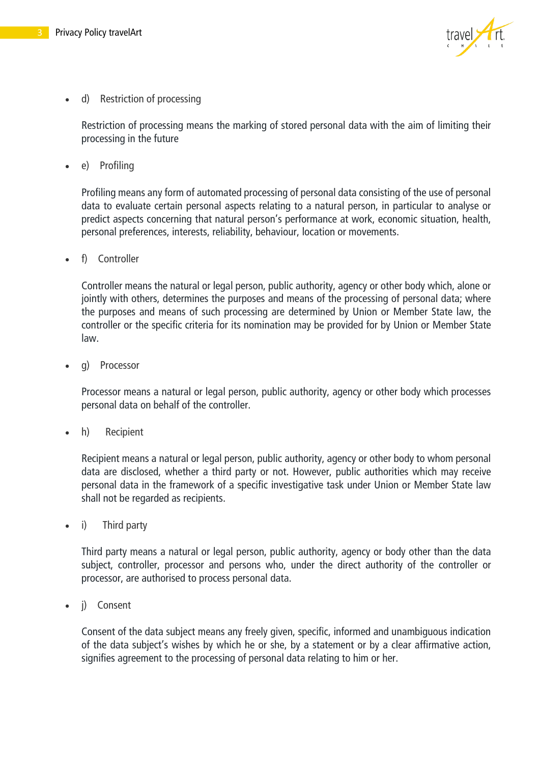

d) Restriction of processing

Restriction of processing means the marking of stored personal data with the aim of limiting their processing in the future

e) Profiling

Profiling means any form of automated processing of personal data consisting of the use of personal data to evaluate certain personal aspects relating to a natural person, in particular to analyse or predict aspects concerning that natural person's performance at work, economic situation, health, personal preferences, interests, reliability, behaviour, location or movements.

• f) Controller

Controller means the natural or legal person, public authority, agency or other body which, alone or jointly with others, determines the purposes and means of the processing of personal data; where the purposes and means of such processing are determined by Union or Member State law, the controller or the specific criteria for its nomination may be provided for by Union or Member State law.

q) Processor

Processor means a natural or legal person, public authority, agency or other body which processes personal data on behalf of the controller.

h) Recipient

Recipient means a natural or legal person, public authority, agency or other body to whom personal data are disclosed, whether a third party or not. However, public authorities which may receive personal data in the framework of a specific investigative task under Union or Member State law shall not be regarded as recipients.

• i) Third party

Third party means a natural or legal person, public authority, agency or body other than the data subject, controller, processor and persons who, under the direct authority of the controller or processor, are authorised to process personal data.

i) Consent

Consent of the data subject means any freely given, specific, informed and unambiguous indication of the data subject's wishes by which he or she, by a statement or by a clear affirmative action, signifies agreement to the processing of personal data relating to him or her.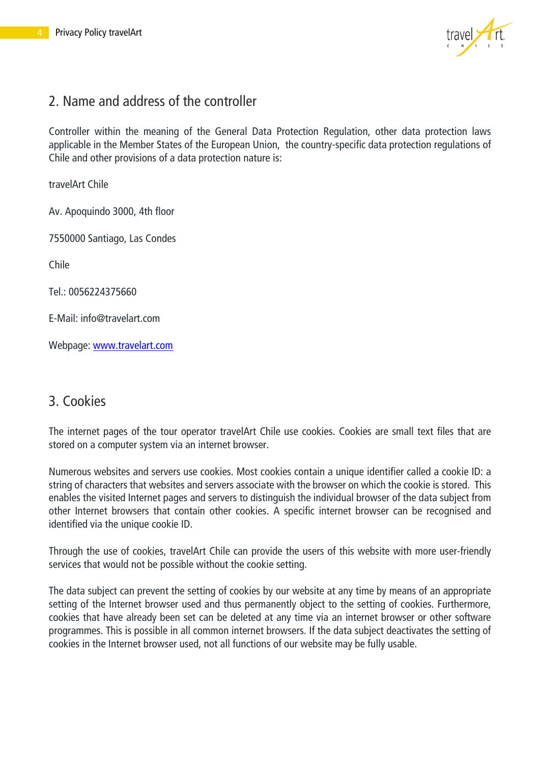

## <span id="page-3-0"></span>2. Name and address of the controller

Controller within the meaning of the General Data Protection Regulation, other data protection laws applicable in the Member States of the European Union, the country-specific data protection regulations of Chile and other provisions of a data protection nature is:

travelArt Chile

Av. Apoquindo 3000, 4th floor

7550000 Santiago, Las Condes

Chile

Tel.: 0056224375660

E-Mail: info@travelart.com

Webpage: [www.travelart.com](http://www.travelart.com/)

#### <span id="page-3-1"></span>3. Cookies

The internet pages of the tour operator travelArt Chile use cookies. Cookies are small text files that are stored on a computer system via an internet browser.

Numerous websites and servers use cookies. Most cookies contain a unique identifier called a cookie ID: a string of characters that websites and servers associate with the browser on which the cookie is stored. This enables the visited Internet pages and servers to distinguish the individual browser of the data subject from other Internet browsers that contain other cookies. A specific internet browser can be recognised and identified via the unique cookie ID.

Through the use of cookies, travelArt Chile can provide the users of this website with more user-friendly services that would not be possible without the cookie setting.

The data subject can prevent the setting of cookies by our website at any time by means of an appropriate setting of the Internet browser used and thus permanently object to the setting of cookies. Furthermore, cookies that have already been set can be deleted at any time via an internet browser or other software programmes. This is possible in all common internet browsers. If the data subject deactivates the setting of cookies in the Internet browser used, not all functions of our website may be fully usable.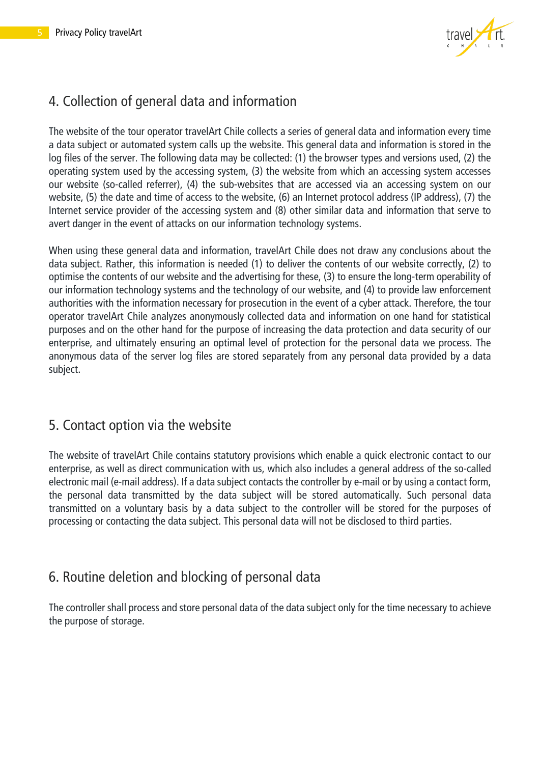

# <span id="page-4-0"></span>4. Collection of general data and information

The website of the tour operator travelArt Chile collects a series of general data and information every time a data subject or automated system calls up the website. This general data and information is stored in the log files of the server. The following data may be collected: (1) the browser types and versions used, (2) the operating system used by the accessing system, (3) the website from which an accessing system accesses our website (so-called referrer), (4) the sub-websites that are accessed via an accessing system on our website, (5) the date and time of access to the website, (6) an Internet protocol address (IP address), (7) the Internet service provider of the accessing system and (8) other similar data and information that serve to avert danger in the event of attacks on our information technology systems.

When using these general data and information, travelArt Chile does not draw any conclusions about the data subject. Rather, this information is needed (1) to deliver the contents of our website correctly, (2) to optimise the contents of our website and the advertising for these, (3) to ensure the long-term operability of our information technology systems and the technology of our website, and (4) to provide law enforcement authorities with the information necessary for prosecution in the event of a cyber attack. Therefore, the tour operator travelArt Chile analyzes anonymously collected data and information on one hand for statistical purposes and on the other hand for the purpose of increasing the data protection and data security of our enterprise, and ultimately ensuring an optimal level of protection for the personal data we process. The anonymous data of the server log files are stored separately from any personal data provided by a data subject.

#### <span id="page-4-1"></span>5. Contact option via the website

The website of travelArt Chile contains statutory provisions which enable a quick electronic contact to our enterprise, as well as direct communication with us, which also includes a general address of the so-called electronic mail (e-mail address). If a data subject contacts the controller by e-mail or by using a contact form, the personal data transmitted by the data subject will be stored automatically. Such personal data transmitted on a voluntary basis by a data subject to the controller will be stored for the purposes of processing or contacting the data subject. This personal data will not be disclosed to third parties.

## <span id="page-4-2"></span>6. Routine deletion and blocking of personal data

The controller shall process and store personal data of the data subject only for the time necessary to achieve the purpose of storage.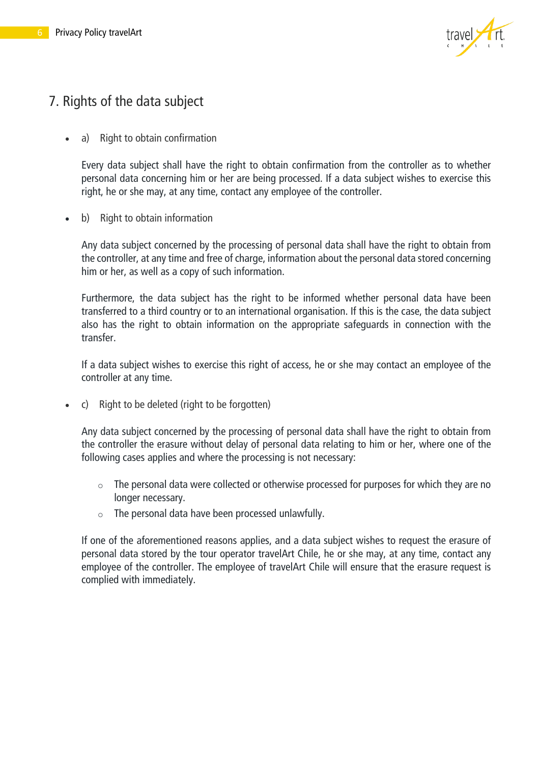

## <span id="page-5-0"></span>7. Rights of the data subject

• a) Right to obtain confirmation

Every data subject shall have the right to obtain confirmation from the controller as to whether personal data concerning him or her are being processed. If a data subject wishes to exercise this right, he or she may, at any time, contact any employee of the controller.

• b) Right to obtain information

Any data subject concerned by the processing of personal data shall have the right to obtain from the controller, at any time and free of charge, information about the personal data stored concerning him or her, as well as a copy of such information.

Furthermore, the data subject has the right to be informed whether personal data have been transferred to a third country or to an international organisation. If this is the case, the data subject also has the right to obtain information on the appropriate safeguards in connection with the transfer.

If a data subject wishes to exercise this right of access, he or she may contact an employee of the controller at any time.

• c) Right to be deleted (right to be forgotten)

Any data subject concerned by the processing of personal data shall have the right to obtain from the controller the erasure without delay of personal data relating to him or her, where one of the following cases applies and where the processing is not necessary:

- $\circ$  The personal data were collected or otherwise processed for purposes for which they are no longer necessary.
- o The personal data have been processed unlawfully.

If one of the aforementioned reasons applies, and a data subject wishes to request the erasure of personal data stored by the tour operator travelArt Chile, he or she may, at any time, contact any employee of the controller. The employee of travelArt Chile will ensure that the erasure request is complied with immediately.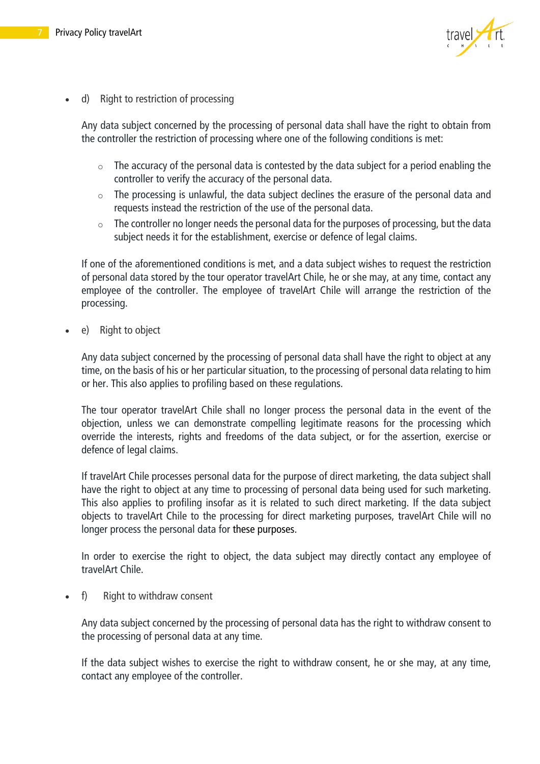

• d) Right to restriction of processing

Any data subject concerned by the processing of personal data shall have the right to obtain from the controller the restriction of processing where one of the following conditions is met:

- $\circ$  The accuracy of the personal data is contested by the data subject for a period enabling the controller to verify the accuracy of the personal data.
- o The processing is unlawful, the data subject declines the erasure of the personal data and requests instead the restriction of the use of the personal data.
- $\circ$  The controller no longer needs the personal data for the purposes of processing, but the data subject needs it for the establishment, exercise or defence of legal claims.

If one of the aforementioned conditions is met, and a data subject wishes to request the restriction of personal data stored by the tour operator travelArt Chile, he or she may, at any time, contact any employee of the controller. The employee of travelArt Chile will arrange the restriction of the processing.

e) Right to object

Any data subject concerned by the processing of personal data shall have the right to object at any time, on the basis of his or her particular situation, to the processing of personal data relating to him or her. This also applies to profiling based on these regulations.

The tour operator travelArt Chile shall no longer process the personal data in the event of the objection, unless we can demonstrate compelling legitimate reasons for the processing which override the interests, rights and freedoms of the data subject, or for the assertion, exercise or defence of legal claims.

If travelArt Chile processes personal data for the purpose of direct marketing, the data subject shall have the right to object at any time to processing of personal data being used for such marketing. This also applies to profiling insofar as it is related to such direct marketing. If the data subject objects to travelArt Chile to the processing for direct marketing purposes, travelArt Chile will no longer process the personal data for these purposes.

In order to exercise the right to object, the data subject may directly contact any employee of travelArt Chile.

f) Right to withdraw consent

Any data subject concerned by the processing of personal data has the right to withdraw consent to the processing of personal data at any time.

If the data subject wishes to exercise the right to withdraw consent, he or she may, at any time, contact any employee of the controller.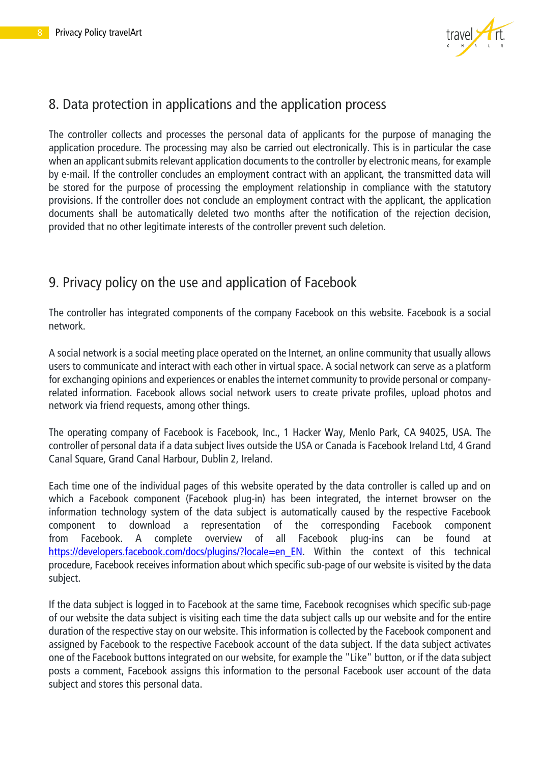

#### <span id="page-7-0"></span>8. Data protection in applications and the application process

The controller collects and processes the personal data of applicants for the purpose of managing the application procedure. The processing may also be carried out electronically. This is in particular the case when an applicant submits relevant application documents to the controller by electronic means, for example by e-mail. If the controller concludes an employment contract with an applicant, the transmitted data will be stored for the purpose of processing the employment relationship in compliance with the statutory provisions. If the controller does not conclude an employment contract with the applicant, the application documents shall be automatically deleted two months after the notification of the rejection decision, provided that no other legitimate interests of the controller prevent such deletion.

#### <span id="page-7-1"></span>9. Privacy policy on the use and application of Facebook

The controller has integrated components of the company Facebook on this website. Facebook is a social network.

A social network is a social meeting place operated on the Internet, an online community that usually allows users to communicate and interact with each other in virtual space. A social network can serve as a platform for exchanging opinions and experiences or enables the internet community to provide personal or companyrelated information. Facebook allows social network users to create private profiles, upload photos and network via friend requests, among other things.

The operating company of Facebook is Facebook, Inc., 1 Hacker Way, Menlo Park, CA 94025, USA. The controller of personal data if a data subject lives outside the USA or Canada is Facebook Ireland Ltd, 4 Grand Canal Square, Grand Canal Harbour, Dublin 2, Ireland.

Each time one of the individual pages of this website operated by the data controller is called up and on which a Facebook component (Facebook plug-in) has been integrated, the internet browser on the information technology system of the data subject is automatically caused by the respective Facebook component to download a representation of the corresponding Facebook component from Facebook. A complete overview of all Facebook plug-ins can be found at [https://developers.facebook.com/docs/plugins/?locale=en\\_EN.](https://developers.facebook.com/docs/plugins/?locale=en_EN) Within the context of this technical procedure, Facebook receives information about which specific sub-page of our website is visited by the data subject.

If the data subject is logged in to Facebook at the same time, Facebook recognises which specific sub-page of our website the data subject is visiting each time the data subject calls up our website and for the entire duration of the respective stay on our website. This information is collected by the Facebook component and assigned by Facebook to the respective Facebook account of the data subject. If the data subject activates one of the Facebook buttons integrated on our website, for example the "Like" button, or if the data subject posts a comment, Facebook assigns this information to the personal Facebook user account of the data subject and stores this personal data.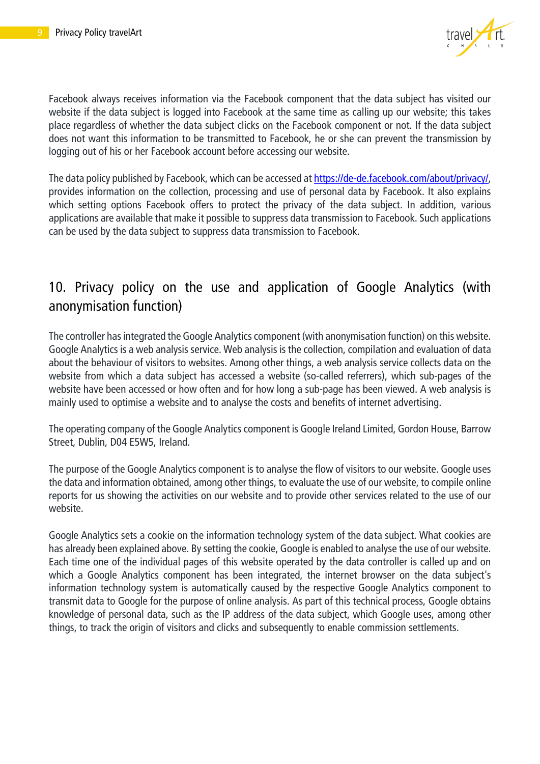

Facebook always receives information via the Facebook component that the data subject has visited our website if the data subject is logged into Facebook at the same time as calling up our website; this takes place regardless of whether the data subject clicks on the Facebook component or not. If the data subject does not want this information to be transmitted to Facebook, he or she can prevent the transmission by logging out of his or her Facebook account before accessing our website.

The data policy published by Facebook, which can be accessed at [https://de-de.facebook.com/about/privacy/,](https://de-de.facebook.com/about/privacy/) provides information on the collection, processing and use of personal data by Facebook. It also explains which setting options Facebook offers to protect the privacy of the data subject. In addition, various applications are available that make it possible to suppress data transmission to Facebook. Such applications can be used by the data subject to suppress data transmission to Facebook.

## <span id="page-8-0"></span>10. Privacy policy on the use and application of Google Analytics (with anonymisation function)

The controller has integrated the Google Analytics component (with anonymisation function) on this website. Google Analytics is a web analysis service. Web analysis is the collection, compilation and evaluation of data about the behaviour of visitors to websites. Among other things, a web analysis service collects data on the website from which a data subject has accessed a website (so-called referrers), which sub-pages of the website have been accessed or how often and for how long a sub-page has been viewed. A web analysis is mainly used to optimise a website and to analyse the costs and benefits of internet advertising.

The operating company of the Google Analytics component is Google Ireland Limited, Gordon House, Barrow Street, Dublin, D04 E5W5, Ireland.

The purpose of the Google Analytics component is to analyse the flow of visitors to our website. Google uses the data and information obtained, among other things, to evaluate the use of our website, to compile online reports for us showing the activities on our website and to provide other services related to the use of our website.

Google Analytics sets a cookie on the information technology system of the data subject. What cookies are has already been explained above. By setting the cookie, Google is enabled to analyse the use of our website. Each time one of the individual pages of this website operated by the data controller is called up and on which a Google Analytics component has been integrated, the internet browser on the data subject's information technology system is automatically caused by the respective Google Analytics component to transmit data to Google for the purpose of online analysis. As part of this technical process, Google obtains knowledge of personal data, such as the IP address of the data subject, which Google uses, among other things, to track the origin of visitors and clicks and subsequently to enable commission settlements.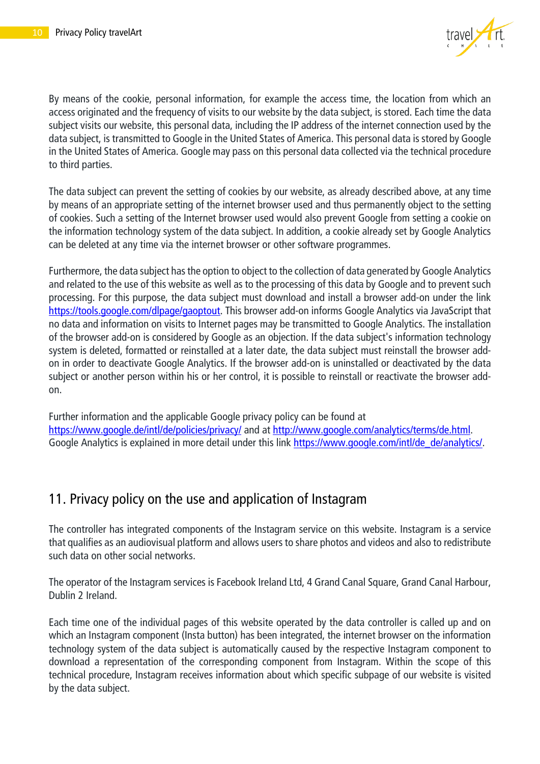

By means of the cookie, personal information, for example the access time, the location from which an access originated and the frequency of visits to our website by the data subject, is stored. Each time the data subject visits our website, this personal data, including the IP address of the internet connection used by the data subject, is transmitted to Google in the United States of America. This personal data is stored by Google in the United States of America. Google may pass on this personal data collected via the technical procedure to third parties.

The data subject can prevent the setting of cookies by our website, as already described above, at any time by means of an appropriate setting of the internet browser used and thus permanently object to the setting of cookies. Such a setting of the Internet browser used would also prevent Google from setting a cookie on the information technology system of the data subject. In addition, a cookie already set by Google Analytics can be deleted at any time via the internet browser or other software programmes.

Furthermore, the data subject has the option to object to the collection of data generated by Google Analytics and related to the use of this website as well as to the processing of this data by Google and to prevent such processing. For this purpose, the data subject must download and install a browser add-on under the link [https://tools.google.com/dlpage/gaoptout.](https://tools.google.com/dlpage/gaoptout) This browser add-on informs Google Analytics via JavaScript that no data and information on visits to Internet pages may be transmitted to Google Analytics. The installation of the browser add-on is considered by Google as an objection. If the data subject's information technology system is deleted, formatted or reinstalled at a later date, the data subject must reinstall the browser addon in order to deactivate Google Analytics. If the browser add-on is uninstalled or deactivated by the data subject or another person within his or her control, it is possible to reinstall or reactivate the browser addon.

Further information and the applicable Google privacy policy can be found at <https://www.google.de/intl/de/policies/privacy/> and at [http://www.google.com/analytics/terms/de.html.](http://www.google.com/analytics/terms/de.html) Google Analytics is explained in more detail under this link [https://www.google.com/intl/de\\_de/analytics/.](https://www.google.com/intl/de_de/analytics/)

#### <span id="page-9-0"></span>11. Privacy policy on the use and application of Instagram

The controller has integrated components of the Instagram service on this website. Instagram is a service that qualifies as an audiovisual platform and allows users to share photos and videos and also to redistribute such data on other social networks.

The operator of the Instagram services is Facebook Ireland Ltd, 4 Grand Canal Square, Grand Canal Harbour, Dublin 2 Ireland.

Each time one of the individual pages of this website operated by the data controller is called up and on which an Instagram component (Insta button) has been integrated, the internet browser on the information technology system of the data subject is automatically caused by the respective Instagram component to download a representation of the corresponding component from Instagram. Within the scope of this technical procedure, Instagram receives information about which specific subpage of our website is visited by the data subject.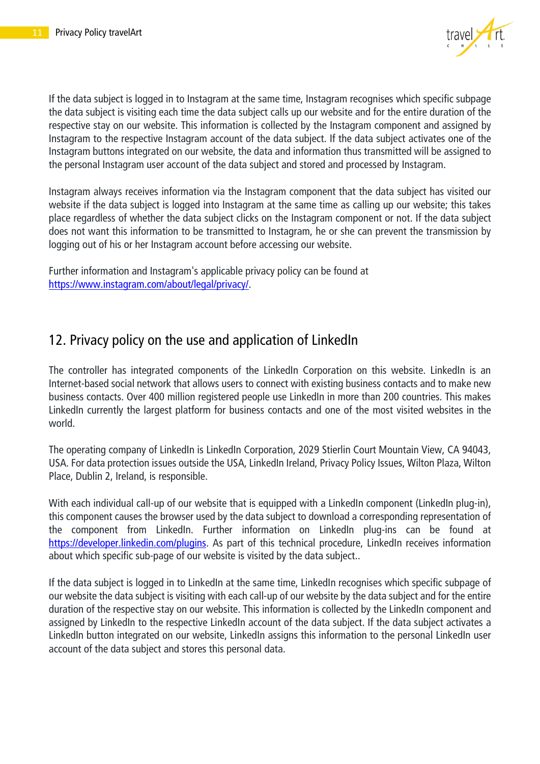

If the data subject is logged in to Instagram at the same time, Instagram recognises which specific subpage the data subject is visiting each time the data subject calls up our website and for the entire duration of the respective stay on our website. This information is collected by the Instagram component and assigned by Instagram to the respective Instagram account of the data subject. If the data subject activates one of the Instagram buttons integrated on our website, the data and information thus transmitted will be assigned to the personal Instagram user account of the data subject and stored and processed by Instagram.

Instagram always receives information via the Instagram component that the data subject has visited our website if the data subject is logged into Instagram at the same time as calling up our website; this takes place regardless of whether the data subject clicks on the Instagram component or not. If the data subject does not want this information to be transmitted to Instagram, he or she can prevent the transmission by logging out of his or her Instagram account before accessing our website.

Further information and Instagram's applicable privacy policy can be found at [https://www.instagram.com/about/legal/privacy/.](https://www.instagram.com/about/legal/privacy/)

#### <span id="page-10-0"></span>12. Privacy policy on the use and application of LinkedIn

The controller has integrated components of the LinkedIn Corporation on this website. LinkedIn is an Internet-based social network that allows users to connect with existing business contacts and to make new business contacts. Over 400 million registered people use LinkedIn in more than 200 countries. This makes LinkedIn currently the largest platform for business contacts and one of the most visited websites in the world.

The operating company of LinkedIn is LinkedIn Corporation, 2029 Stierlin Court Mountain View, CA 94043, USA. For data protection issues outside the USA, LinkedIn Ireland, Privacy Policy Issues, Wilton Plaza, Wilton Place, Dublin 2, Ireland, is responsible.

With each individual call-up of our website that is equipped with a LinkedIn component (LinkedIn plug-in), this component causes the browser used by the data subject to download a corresponding representation of the component from LinkedIn. Further information on LinkedIn plug-ins can be found at [https://developer.linkedin.com/plugins.](https://developer.linkedin.com/plugins) As part of this technical procedure, LinkedIn receives information about which specific sub-page of our website is visited by the data subject..

If the data subject is logged in to LinkedIn at the same time, LinkedIn recognises which specific subpage of our website the data subject is visiting with each call-up of our website by the data subject and for the entire duration of the respective stay on our website. This information is collected by the LinkedIn component and assigned by LinkedIn to the respective LinkedIn account of the data subject. If the data subject activates a LinkedIn button integrated on our website, LinkedIn assigns this information to the personal LinkedIn user account of the data subject and stores this personal data.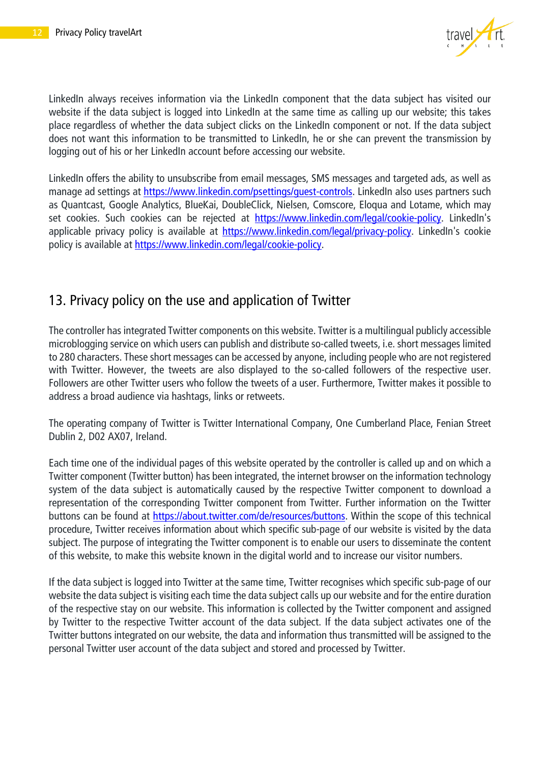

LinkedIn always receives information via the LinkedIn component that the data subject has visited our website if the data subject is logged into LinkedIn at the same time as calling up our website; this takes place regardless of whether the data subject clicks on the LinkedIn component or not. If the data subject does not want this information to be transmitted to LinkedIn, he or she can prevent the transmission by logging out of his or her LinkedIn account before accessing our website.

LinkedIn offers the ability to unsubscribe from email messages, SMS messages and targeted ads, as well as manage ad settings at https://www.linkedin.com/psettings/quest-controls. LinkedIn also uses partners such as Quantcast, Google Analytics, BlueKai, DoubleClick, Nielsen, Comscore, Eloqua and Lotame, which may set cookies. Such cookies can be rejected at [https://www.linkedin.com/legal/cookie-policy.](https://www.linkedin.com/legal/cookie-policy) LinkedIn's applicable privacy policy is available at [https://www.linkedin.com/legal/privacy-policy.](https://www.linkedin.com/legal/privacy-policy) LinkedIn's cookie policy is available at [https://www.linkedin.com/legal/cookie-policy.](https://www.linkedin.com/legal/cookie-policy)

#### <span id="page-11-0"></span>13. Privacy policy on the use and application of Twitter

The controller has integrated Twitter components on this website. Twitter is a multilingual publicly accessible microblogging service on which users can publish and distribute so-called tweets, i.e. short messages limited to 280 characters. These short messages can be accessed by anyone, including people who are not registered with Twitter. However, the tweets are also displayed to the so-called followers of the respective user. Followers are other Twitter users who follow the tweets of a user. Furthermore, Twitter makes it possible to address a broad audience via hashtags, links or retweets.

The operating company of Twitter is Twitter International Company, One Cumberland Place, Fenian Street Dublin 2, D02 AX07, Ireland.

Each time one of the individual pages of this website operated by the controller is called up and on which a Twitter component (Twitter button) has been integrated, the internet browser on the information technology system of the data subject is automatically caused by the respective Twitter component to download a representation of the corresponding Twitter component from Twitter. Further information on the Twitter buttons can be found at [https://about.twitter.com/de/resources/buttons.](https://about.twitter.com/de/resources/buttons) Within the scope of this technical procedure, Twitter receives information about which specific sub-page of our website is visited by the data subject. The purpose of integrating the Twitter component is to enable our users to disseminate the content of this website, to make this website known in the digital world and to increase our visitor numbers.

If the data subject is logged into Twitter at the same time, Twitter recognises which specific sub-page of our website the data subject is visiting each time the data subject calls up our website and for the entire duration of the respective stay on our website. This information is collected by the Twitter component and assigned by Twitter to the respective Twitter account of the data subject. If the data subject activates one of the Twitter buttons integrated on our website, the data and information thus transmitted will be assigned to the personal Twitter user account of the data subject and stored and processed by Twitter.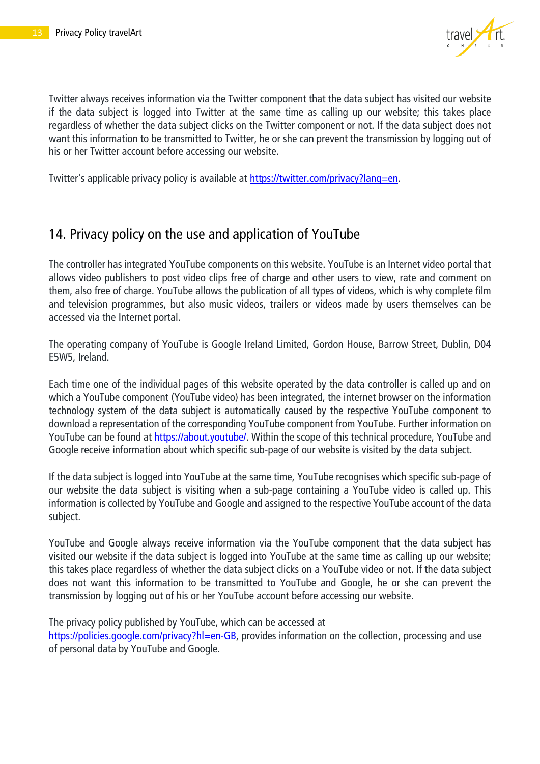

Twitter always receives information via the Twitter component that the data subject has visited our website if the data subject is logged into Twitter at the same time as calling up our website; this takes place regardless of whether the data subject clicks on the Twitter component or not. If the data subject does not want this information to be transmitted to Twitter, he or she can prevent the transmission by logging out of his or her Twitter account before accessing our website.

Twitter's applicable privacy policy is available at [https://twitter.com/privacy?lang=en.](https://twitter.com/privacy?lang=en)

#### <span id="page-12-0"></span>14. Privacy policy on the use and application of YouTube

The controller has integrated YouTube components on this website. YouTube is an Internet video portal that allows video publishers to post video clips free of charge and other users to view, rate and comment on them, also free of charge. YouTube allows the publication of all types of videos, which is why complete film and television programmes, but also music videos, trailers or videos made by users themselves can be accessed via the Internet portal.

The operating company of YouTube is Google Ireland Limited, Gordon House, Barrow Street, Dublin, D04 E5W5, Ireland.

Each time one of the individual pages of this website operated by the data controller is called up and on which a YouTube component (YouTube video) has been integrated, the internet browser on the information technology system of the data subject is automatically caused by the respective YouTube component to download a representation of the corresponding YouTube component from YouTube. Further information on YouTube can be found at [https://about.youtube/.](https://about.youtube/) Within the scope of this technical procedure, YouTube and Google receive information about which specific sub-page of our website is visited by the data subject.

If the data subject is logged into YouTube at the same time, YouTube recognises which specific sub-page of our website the data subject is visiting when a sub-page containing a YouTube video is called up. This information is collected by YouTube and Google and assigned to the respective YouTube account of the data subject.

YouTube and Google always receive information via the YouTube component that the data subject has visited our website if the data subject is logged into YouTube at the same time as calling up our website; this takes place regardless of whether the data subject clicks on a YouTube video or not. If the data subject does not want this information to be transmitted to YouTube and Google, he or she can prevent the transmission by logging out of his or her YouTube account before accessing our website.

The privacy policy published by YouTube, which can be accessed at

[https://policies.google.com/privacy?hl=en-GB,](https://policies.google.com/privacy?hl=en-GB) provides information on the collection, processing and use of personal data by YouTube and Google.